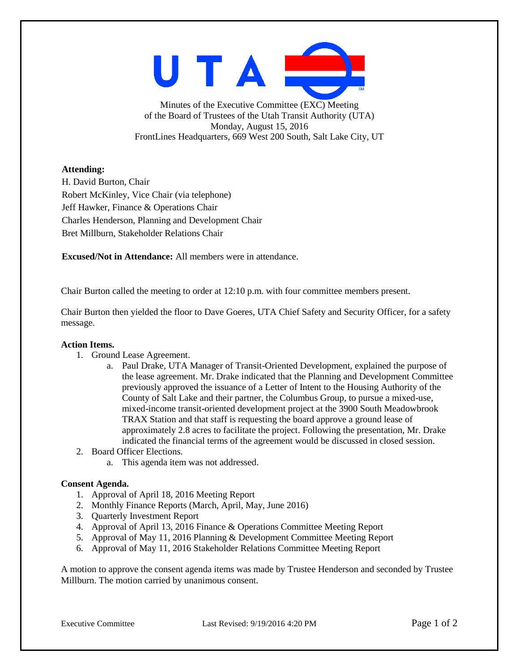UTAI

Minutes of the Executive Committee (EXC) Meeting of the Board of Trustees of the Utah Transit Authority (UTA) Monday, August 15, 2016 FrontLines Headquarters, 669 West 200 South, Salt Lake City, UT

# **Attending:**

H. David Burton, Chair Robert McKinley, Vice Chair (via telephone) Jeff Hawker, Finance & Operations Chair Charles Henderson, Planning and Development Chair Bret Millburn, Stakeholder Relations Chair

**Excused/Not in Attendance:** All members were in attendance.

Chair Burton called the meeting to order at 12:10 p.m. with four committee members present.

Chair Burton then yielded the floor to Dave Goeres, UTA Chief Safety and Security Officer, for a safety message.

# **Action Items.**

- 1. Ground Lease Agreement.
	- a. Paul Drake, UTA Manager of Transit-Oriented Development, explained the purpose of the lease agreement. Mr. Drake indicated that the Planning and Development Committee previously approved the issuance of a Letter of Intent to the Housing Authority of the County of Salt Lake and their partner, the Columbus Group, to pursue a mixed-use, mixed-income transit-oriented development project at the 3900 South Meadowbrook TRAX Station and that staff is requesting the board approve a ground lease of approximately 2.8 acres to facilitate the project. Following the presentation, Mr. Drake indicated the financial terms of the agreement would be discussed in closed session.
- 2. Board Officer Elections.
	- a. This agenda item was not addressed.

# **Consent Agenda.**

- 1. Approval of April 18, 2016 Meeting Report
- 2. Monthly Finance Reports (March, April, May, June 2016)
- 3. Quarterly Investment Report
- 4. Approval of April 13, 2016 Finance & Operations Committee Meeting Report
- 5. Approval of May 11, 2016 Planning & Development Committee Meeting Report
- 6. Approval of May 11, 2016 Stakeholder Relations Committee Meeting Report

A motion to approve the consent agenda items was made by Trustee Henderson and seconded by Trustee Millburn. The motion carried by unanimous consent.